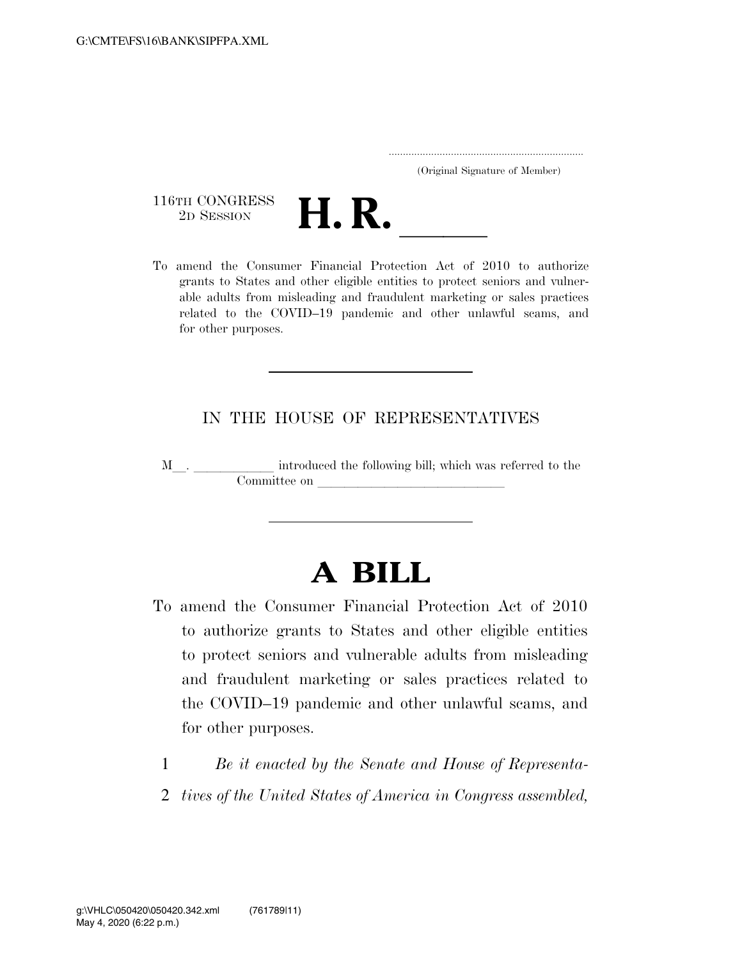..................................................................... (Original Signature of Member)

116TH CONGRESS<br>2D SESSION



116TH CONGRESS<br>
2D SESSION<br>
To amend the Consumer Financial Protection Act of 2010 to authorize grants to States and other eligible entities to protect seniors and vulnerable adults from misleading and fraudulent marketing or sales practices related to the COVID–19 pandemic and other unlawful scams, and for other purposes.

## IN THE HOUSE OF REPRESENTATIVES

M\_\_. \_\_\_\_\_\_\_\_\_\_\_\_ introduced the following bill; which was referred to the Committee on later than the committee on later than the committee on later  $\sim$ 

## **A BILL**

- To amend the Consumer Financial Protection Act of 2010 to authorize grants to States and other eligible entities to protect seniors and vulnerable adults from misleading and fraudulent marketing or sales practices related to the COVID–19 pandemic and other unlawful scams, and for other purposes.
	- 1 *Be it enacted by the Senate and House of Representa-*
	- 2 *tives of the United States of America in Congress assembled,*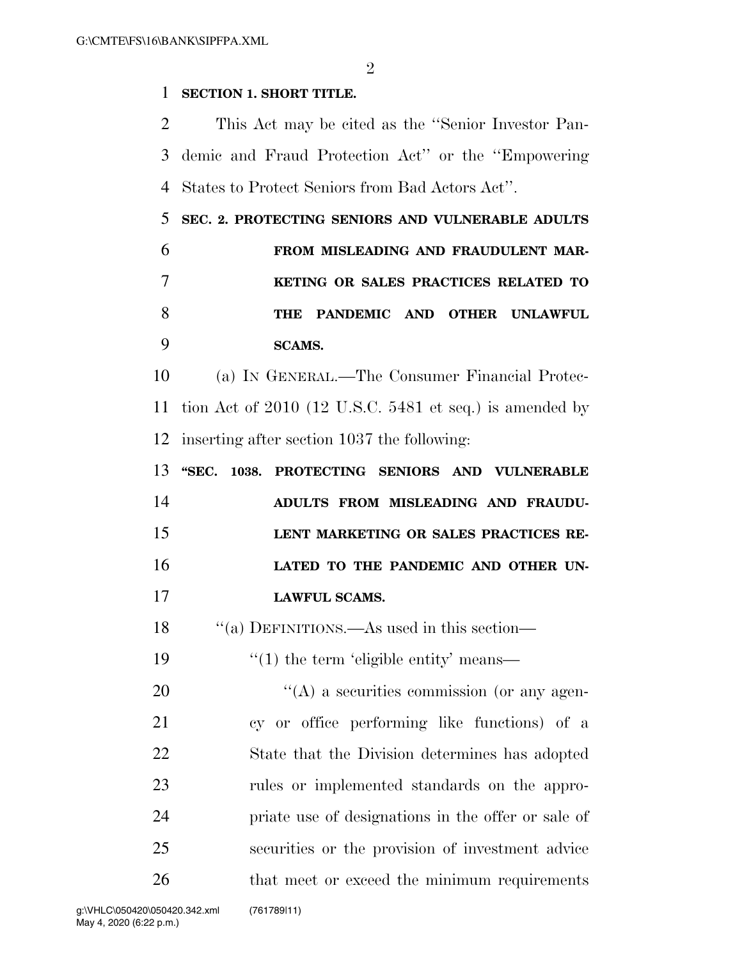$\mathfrak{D}$ 

## **SECTION 1. SHORT TITLE.**

 This Act may be cited as the ''Senior Investor Pan- demic and Fraud Protection Act'' or the ''Empowering States to Protect Seniors from Bad Actors Act''.

 **SEC. 2. PROTECTING SENIORS AND VULNERABLE ADULTS FROM MISLEADING AND FRAUDULENT MAR- KETING OR SALES PRACTICES RELATED TO THE PANDEMIC AND OTHER UNLAWFUL SCAMS.** 

 (a) IN GENERAL.—The Consumer Financial Protec- tion Act of 2010 (12 U.S.C. 5481 et seq.) is amended by inserting after section 1037 the following:

|    |  | 13 "SEC. 1038. PROTECTING SENIORS AND VULNERABLE |
|----|--|--------------------------------------------------|
| 14 |  | ADULTS FROM MISLEADING AND FRAUDU-               |
| 15 |  | LENT MARKETING OR SALES PRACTICES RE-            |
| 16 |  | LATED TO THE PANDEMIC AND OTHER UN-              |
| 17 |  | <b>LAWFUL SCAMS.</b>                             |

''(a) DEFINITIONS.—As used in this section—

19  $\frac{1}{2}$  (1) the term 'eligible entity' means—

 $\langle (A)$  a securities commission (or any agen- cy or office performing like functions) of a State that the Division determines has adopted rules or implemented standards on the appro- priate use of designations in the offer or sale of securities or the provision of investment advice 26 that meet or exceed the minimum requirements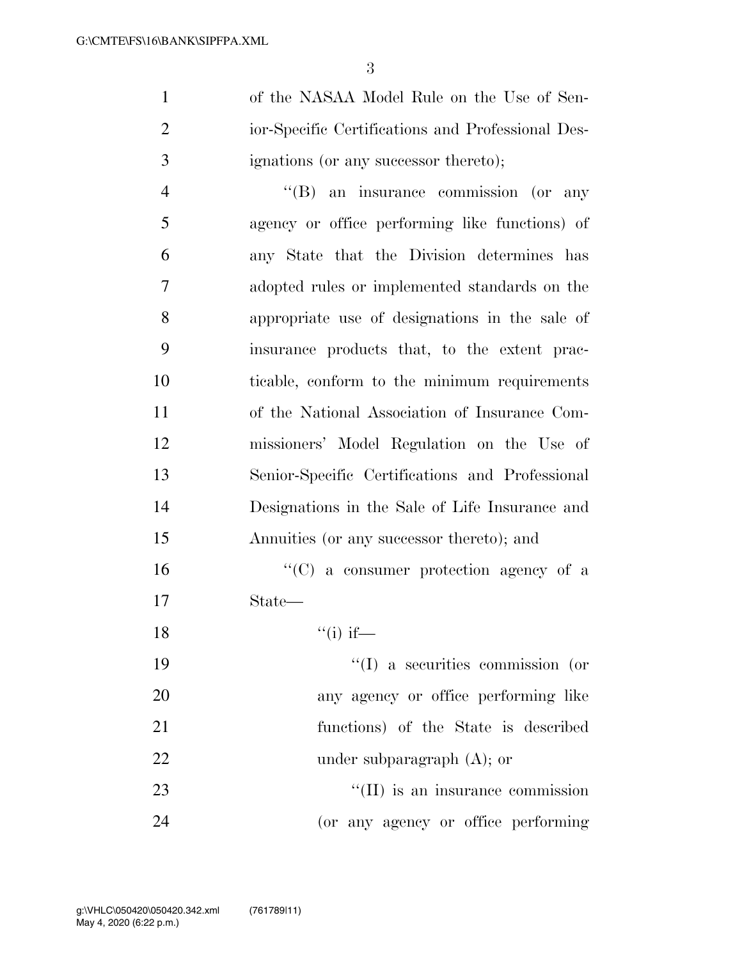of the NASAA Model Rule on the Use of Sen- ior-Specific Certifications and Professional Des-ignations (or any successor thereto);

 ''(B) an insurance commission (or any agency or office performing like functions) of any State that the Division determines has adopted rules or implemented standards on the appropriate use of designations in the sale of insurance products that, to the extent prac- ticable, conform to the minimum requirements of the National Association of Insurance Com- missioners' Model Regulation on the Use of Senior-Specific Certifications and Professional Designations in the Sale of Life Insurance and Annuities (or any successor thereto); and

16  $\lq\lq$  (C) a consumer protection agency of a State—

18  $"(i)$  if—

 $\frac{1}{2}$  a securities commission (or any agency or office performing like functions) of the State is described 22 under subparagraph (A); or 23 ''(II) is an insurance commission (or any agency or office performing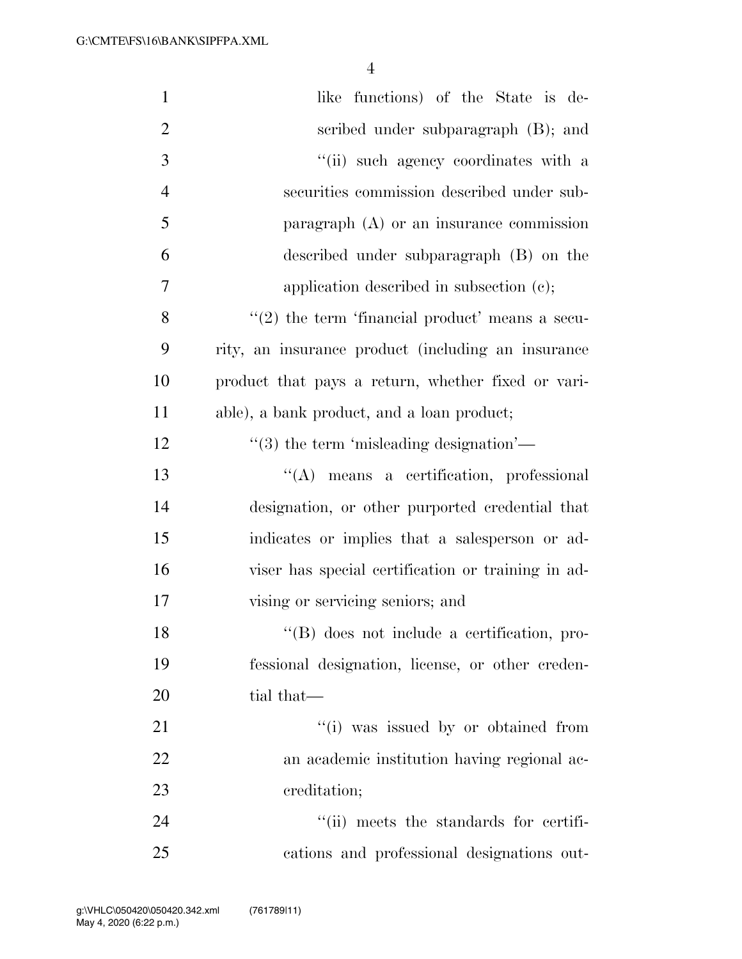| $\mathbf{1}$   | like functions) of the State is de-                     |
|----------------|---------------------------------------------------------|
| $\overline{2}$ | scribed under subparagraph (B); and                     |
| 3              | "(ii) such agency coordinates with a                    |
| $\overline{4}$ | securities commission described under sub-              |
| 5              | paragraph $(A)$ or an insurance commission              |
| 6              | described under subparagraph (B) on the                 |
| 7              | application described in subsection $(c)$ ;             |
| 8              | $(2)$ the term 'financial product' means a secu-        |
| 9              | rity, an insurance product (including an insurance      |
| 10             | product that pays a return, whether fixed or vari-      |
| 11             | able), a bank product, and a loan product;              |
| 12             | $\cdot\cdot\cdot(3)$ the term 'misleading designation'— |
| 13             | "(A) means a certification, professional                |
| 14             | designation, or other purported credential that         |
| 15             | indicates or implies that a salesperson or ad-          |
| 16             | viser has special certification or training in ad-      |
| 17             | vising or servicing seniors; and                        |
| 18             | "(B) does not include a certification, pro-             |
| 19             | fessional designation, license, or other creden-        |
| 20             | tial that—                                              |
| 21             | "(i) was issued by or obtained from                     |
| 22             | an academic institution having regional ac-             |
| 23             | creditation;                                            |
| 24             | "(ii) meets the standards for certifi-                  |
| 25             | cations and professional designations out-              |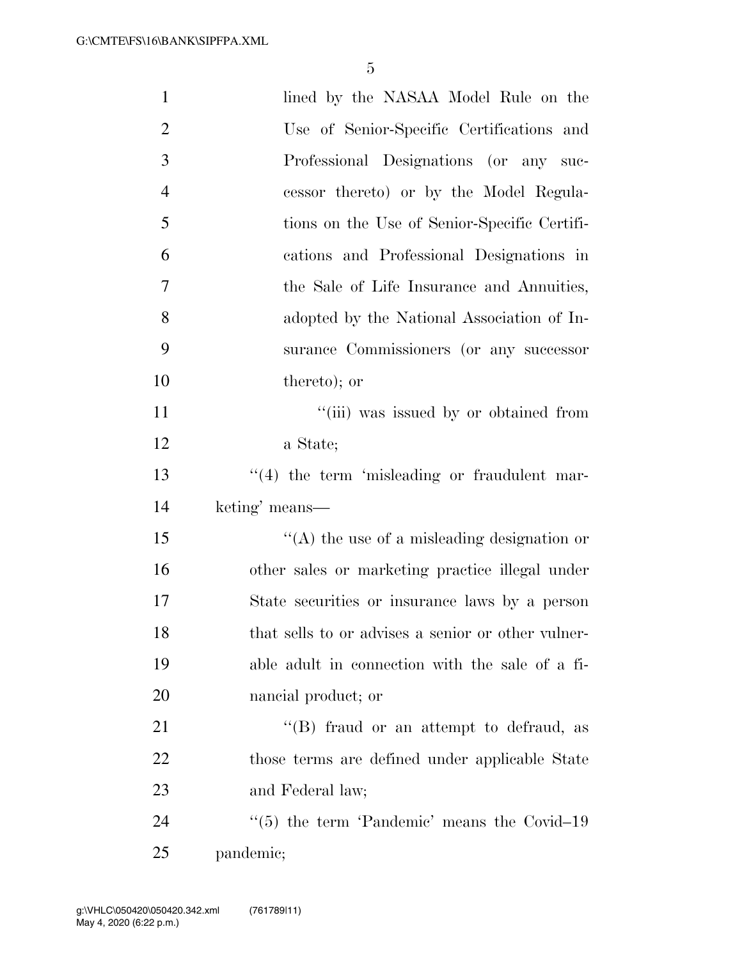| $\mathbf{1}$   | lined by the NASAA Model Rule on the                    |
|----------------|---------------------------------------------------------|
| $\overline{2}$ | Use of Senior-Specific Certifications and               |
| 3              | Professional Designations (or any suc-                  |
| $\overline{4}$ | cessor thereto) or by the Model Regula-                 |
| 5              | tions on the Use of Senior-Specific Certifi-            |
| 6              | cations and Professional Designations in                |
| $\overline{7}$ | the Sale of Life Insurance and Annuities,               |
| 8              | adopted by the National Association of In-              |
| 9              | surance Commissioners (or any successor                 |
| 10             | thereto); or                                            |
| 11             | "(iii) was issued by or obtained from                   |
| 12             | a State;                                                |
| 13             | $\lq(4)$ the term 'misleading or fraudulent mar-        |
| 14             | keting' means—                                          |
| 15             | $\lq\lq$ the use of a misleading designation or         |
| 16             | other sales or marketing practice illegal under         |
| 17             | State securities or insurance laws by a person          |
| 18             | that sells to or advises a senior or other vulner-      |
| 19             | able adult in connection with the sale of a fi-         |
| 20             | nancial product; or                                     |
| 21             | $\lq\lq (B)$ fraud or an attempt to defraud, as         |
| 22             | those terms are defined under applicable State          |
| 23             | and Federal law;                                        |
| 24             | $\cdot\cdot$ (5) the term 'Pandemic' means the Covid-19 |
| 25             | pandemic;                                               |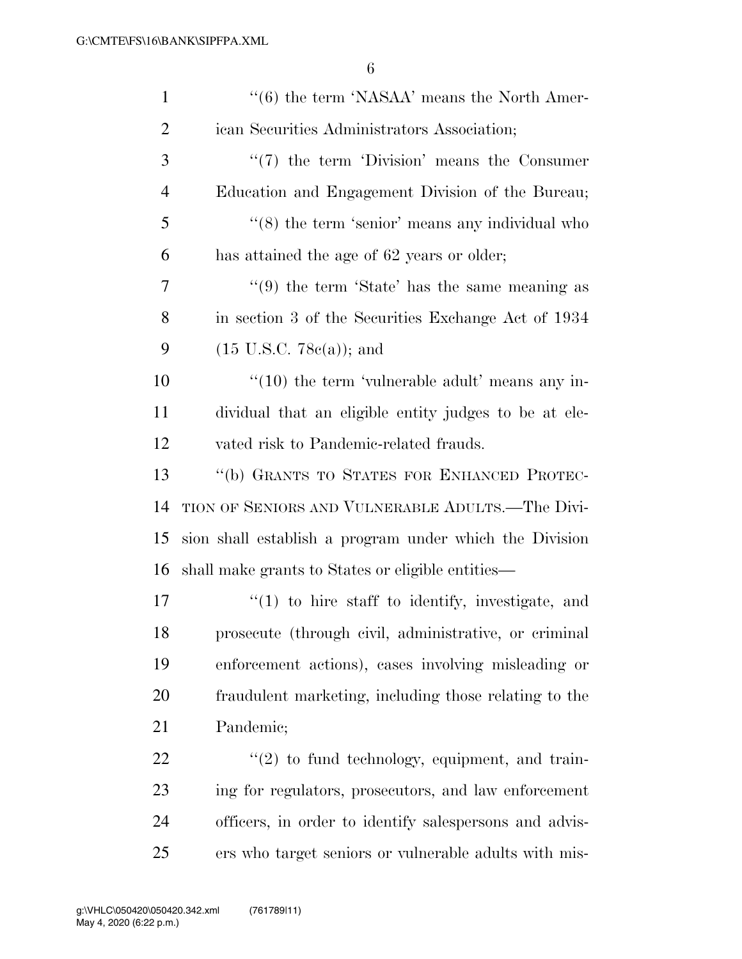| $\mathbf{1}$   | $``(6)$ the term 'NASAA' means the North Amer-                |
|----------------|---------------------------------------------------------------|
| $\overline{2}$ | ican Securities Administrators Association;                   |
| 3              | $\lq(7)$ the term 'Division' means the Consumer               |
| $\overline{4}$ | Education and Engagement Division of the Bureau;              |
| 5              | $\cdot\cdot$ (8) the term 'senior' means any individual who   |
| 6              | has attained the age of 62 years or older;                    |
| 7              | $\cdot\cdot\cdot(9)$ the term 'State' has the same meaning as |
| 8              | in section 3 of the Securities Exchange Act of 1934           |
| 9              | $(15 \text{ U.S.C. } 78c(a))$ ; and                           |
| 10             | $\cdot\cdot(10)$ the term 'vulnerable adult' means any in-    |
| 11             | dividual that an eligible entity judges to be at ele-         |
| 12             | vated risk to Pandemic-related frauds.                        |
| 13             | "(b) GRANTS TO STATES FOR ENHANCED PROTEC-                    |
| 14             | TION OF SENIORS AND VULNERABLE ADULTS.—The Divi-              |
| 15             | sion shall establish a program under which the Division       |
| 16             | shall make grants to States or eligible entities—             |
| 17             | $f'(1)$ to hire staff to identify, investigate, and           |
| 18             | prosecute (through civil, administrative, or criminal         |
| 19             | enforcement actions), cases involving misleading or           |
| 20             | fraudulent marketing, including those relating to the         |
| 21             | Pandemic;                                                     |
| 22             | $f'(2)$ to fund technology, equipment, and train-             |
| 23             | ing for regulators, prosecutors, and law enforcement          |
| 24             | officers, in order to identify salespersons and advis-        |
| 25             | ers who target seniors or vulnerable adults with mis-         |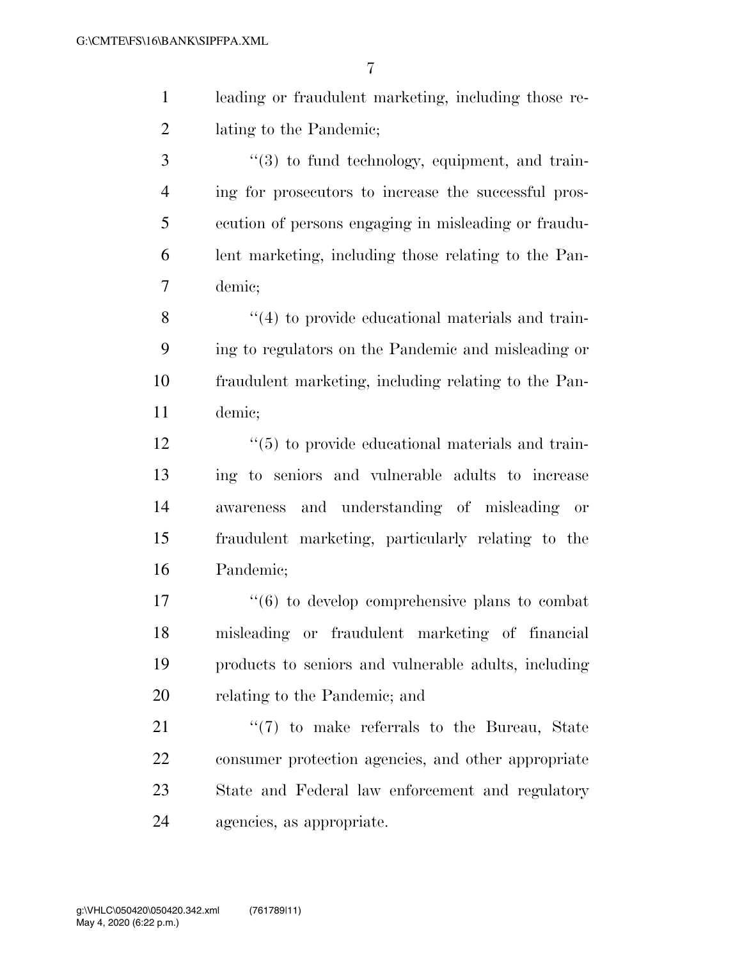| leading or fraudulent marketing, including those re- |
|------------------------------------------------------|
| lating to the Pandemic;                              |

3 ''(3) to fund technology, equipment, and train- ing for prosecutors to increase the successful pros- ecution of persons engaging in misleading or fraudu- lent marketing, including those relating to the Pan-demic;

8 ''(4) to provide educational materials and train- ing to regulators on the Pandemic and misleading or fraudulent marketing, including relating to the Pan-demic;

12 ''(5) to provide educational materials and train- ing to seniors and vulnerable adults to increase awareness and understanding of misleading or fraudulent marketing, particularly relating to the Pandemic;

 $\frac{17}{6}$  to develop comprehensive plans to combat misleading or fraudulent marketing of financial products to seniors and vulnerable adults, including relating to the Pandemic; and

21 ''(7) to make referrals to the Bureau, State consumer protection agencies, and other appropriate State and Federal law enforcement and regulatory agencies, as appropriate.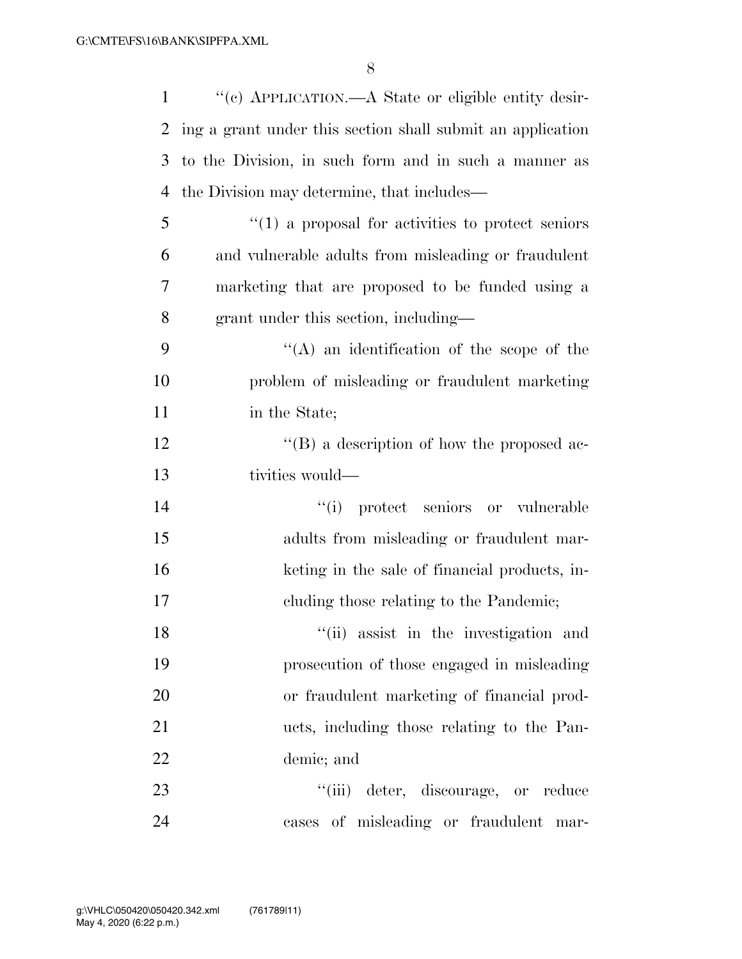| $\mathbf{1}$ | "(c) APPLICATION.—A State or eligible entity desir-               |
|--------------|-------------------------------------------------------------------|
| 2            | ing a grant under this section shall submit an application        |
| 3            | to the Division, in such form and in such a manner as             |
| 4            | the Division may determine, that includes—                        |
| 5            | $\cdot\cdot\cdot(1)$ a proposal for activities to protect seniors |
| 6            | and vulnerable adults from misleading or fraudulent               |
| 7            | marketing that are proposed to be funded using a                  |
| 8            | grant under this section, including—                              |
| 9            | $\lq\lq$ an identification of the scope of the                    |
| 10           | problem of misleading or fraudulent marketing                     |
| 11           | in the State;                                                     |
| 12           | $\lq\lq (B)$ a description of how the proposed ac-                |
| 13           | tivities would—                                                   |
| 14           | "(i) protect seniors or vulnerable                                |
| 15           | adults from misleading or fraudulent mar-                         |
| 16           | keting in the sale of financial products, in-                     |
| 17           | cluding those relating to the Pandemic;                           |
| 18           | "(ii) assist in the investigation and                             |
| 19           | prosecution of those engaged in misleading                        |
| 20           | or fraudulent marketing of financial prod-                        |
| 21           | ucts, including those relating to the Pan-                        |
| 22           | demic; and                                                        |
| 23           | "(iii) deter, discourage, or reduce                               |
| 24           | cases of misleading or fraudulent mar-                            |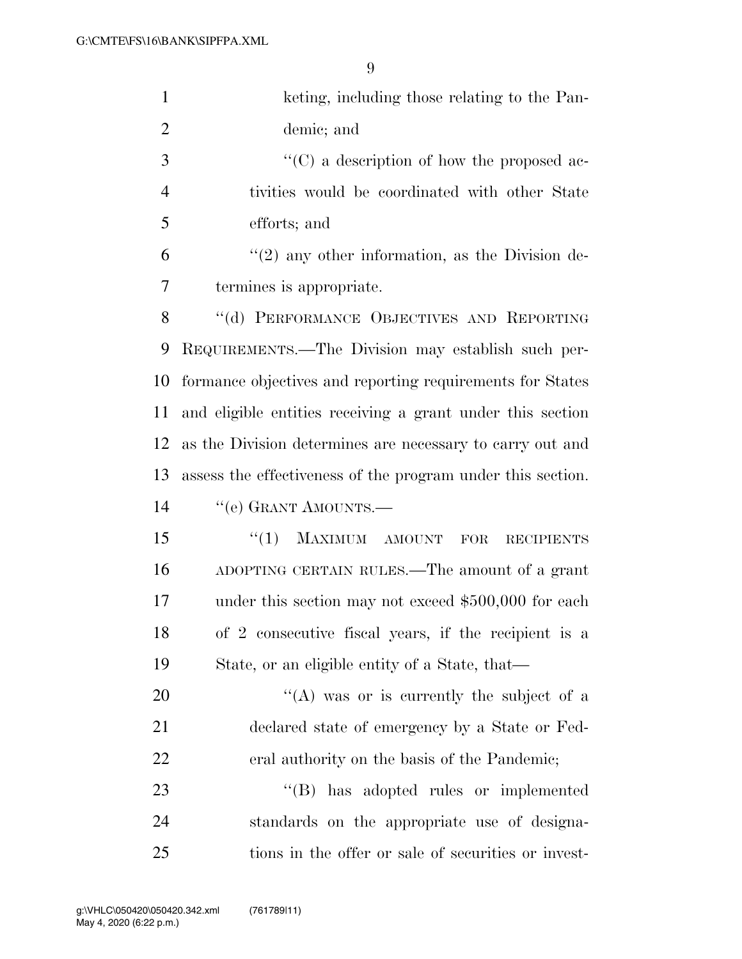| $\mathbf{1}$   | keting, including those relating to the Pan-                |
|----------------|-------------------------------------------------------------|
| $\overline{2}$ | demic; and                                                  |
| 3              | $\lq\lq$ (C) a description of how the proposed ac-          |
| $\overline{4}$ | tivities would be coordinated with other State              |
| 5              | efforts; and                                                |
| 6              | $\lq(2)$ any other information, as the Division de-         |
| 7              | termines is appropriate.                                    |
| 8              | "(d) PERFORMANCE OBJECTIVES AND REPORTING                   |
| 9              | REQUIREMENTS.—The Division may establish such per-          |
| 10             | formance objectives and reporting requirements for States   |
| 11             | and eligible entities receiving a grant under this section  |
| 12             | as the Division determines are necessary to carry out and   |
| 13             | assess the effectiveness of the program under this section. |
| 14             | "(e) GRANT AMOUNTS.—                                        |
| 15             | MAXIMUM AMOUNT<br>``(1)<br>FOR<br><b>RECIPIENTS</b>         |
| 16             | ADOPTING CERTAIN RULES.—The amount of a grant               |
| 17             | under this section may not exceed \$500,000 for each        |
| 18             | of 2 consecutive fiscal years, if the recipient is a        |
| 19             | State, or an eligible entity of a State, that—              |
| 20             | "(A) was or is currently the subject of a                   |
| 21             | declared state of emergency by a State or Fed-              |
| 22             | eral authority on the basis of the Pandemic;                |
| 23             | $\lq\lq (B)$<br>has adopted rules or implemented            |
| 24             | standards on the appropriate use of designa-                |
| 25             | tions in the offer or sale of securities or invest-         |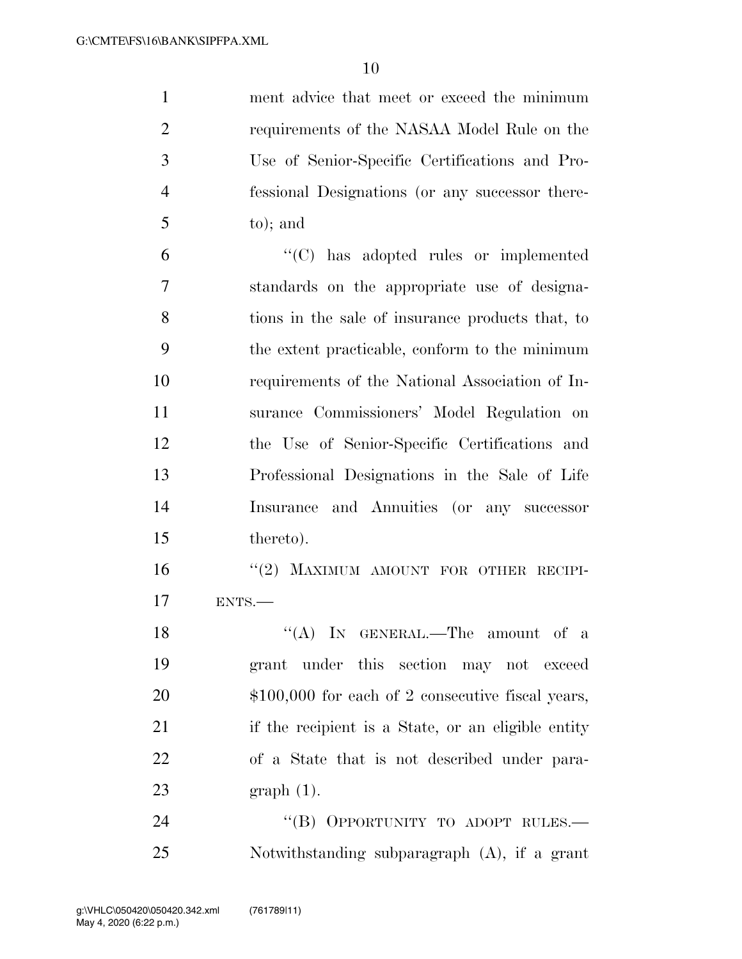ment advice that meet or exceed the minimum requirements of the NASAA Model Rule on the Use of Senior-Specific Certifications and Pro- fessional Designations (or any successor there-to); and

 ''(C) has adopted rules or implemented standards on the appropriate use of designa- tions in the sale of insurance products that, to the extent practicable, conform to the minimum requirements of the National Association of In- surance Commissioners' Model Regulation on the Use of Senior-Specific Certifications and Professional Designations in the Sale of Life Insurance and Annuities (or any successor thereto).

16 "(2) MAXIMUM AMOUNT FOR OTHER RECIPI-ENTS.—

18 "(A) IN GENERAL.—The amount of a grant under this section may not exceed 20 \$100,000 for each of 2 consecutive fiscal years, if the recipient is a State, or an eligible entity of a State that is not described under para-graph (1).

24 "(B) OPPORTUNITY TO ADOPT RULES.— Notwithstanding subparagraph (A), if a grant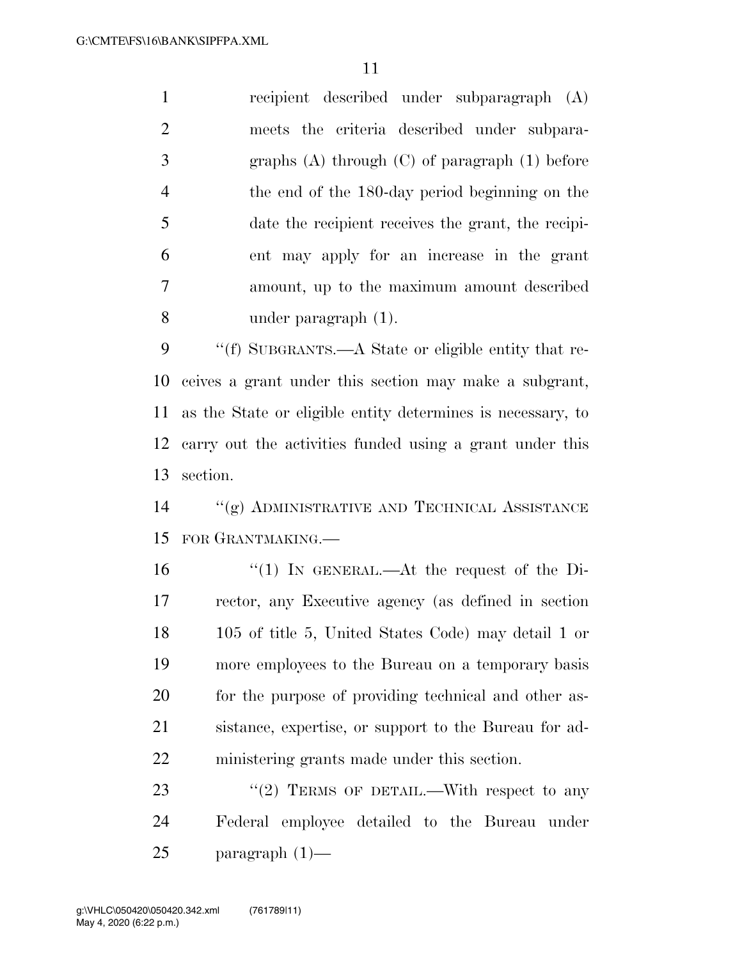recipient described under subparagraph (A) meets the criteria described under subpara- graphs (A) through (C) of paragraph (1) before the end of the 180-day period beginning on the date the recipient receives the grant, the recipi- ent may apply for an increase in the grant amount, up to the maximum amount described under paragraph (1).

 ''(f) SUBGRANTS.—A State or eligible entity that re- ceives a grant under this section may make a subgrant, as the State or eligible entity determines is necessary, to carry out the activities funded using a grant under this section.

 ''(g) ADMINISTRATIVE AND TECHNICAL ASSISTANCE FOR GRANTMAKING.—

 ''(1) IN GENERAL.—At the request of the Di- rector, any Executive agency (as defined in section 105 of title 5, United States Code) may detail 1 or more employees to the Bureau on a temporary basis for the purpose of providing technical and other as- sistance, expertise, or support to the Bureau for ad-ministering grants made under this section.

23  $\frac{1}{2}$  TERMS OF DETAIL.—With respect to any Federal employee detailed to the Bureau under paragraph (1)—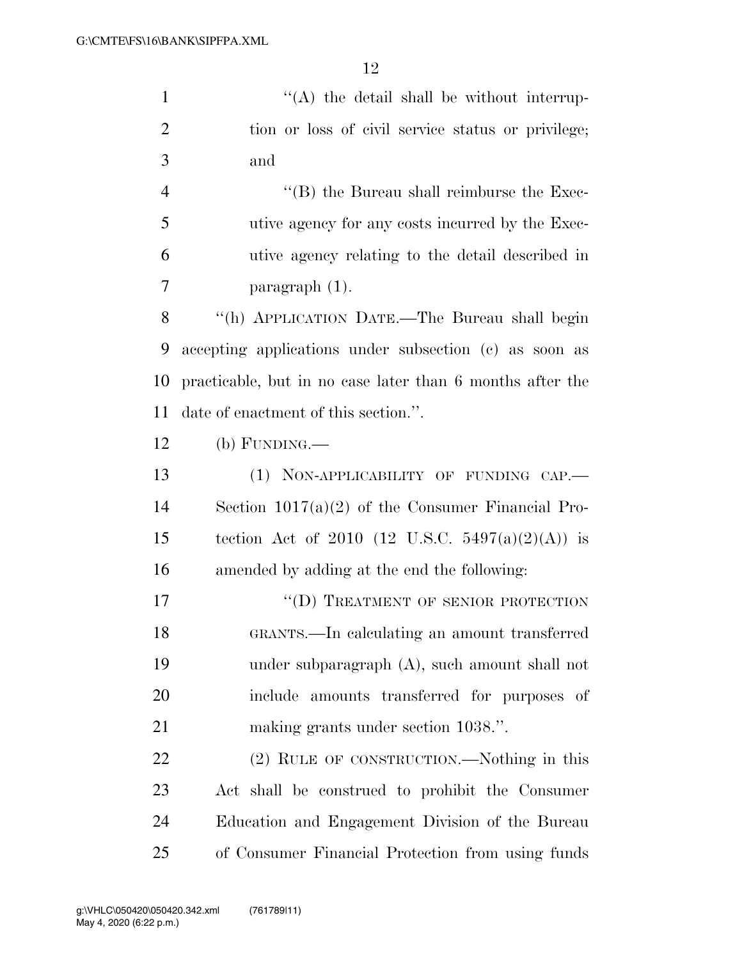1 ''(A) the detail shall be without interrup- tion or loss of civil service status or privilege; and 4 ''(B) the Bureau shall reimburse the Exec-utive agency for any costs incurred by the Exec-

utive agency relating to the detail described in

paragraph (1).

 ''(h) APPLICATION DATE.—The Bureau shall begin accepting applications under subsection (c) as soon as practicable, but in no case later than 6 months after the date of enactment of this section.''.

(b) FUNDING.—

13 (1) NON-APPLICABILITY OF FUNDING CAP.— Section 1017(a)(2) of the Consumer Financial Pro-15 tection Act of 2010 (12 U.S.C. 5497(a)(2)(A)) is amended by adding at the end the following:

17 "
(D) TREATMENT OF SENIOR PROTECTION GRANTS.—In calculating an amount transferred under subparagraph (A), such amount shall not include amounts transferred for purposes of making grants under section 1038.''.

 (2) RULE OF CONSTRUCTION.—Nothing in this Act shall be construed to prohibit the Consumer Education and Engagement Division of the Bureau of Consumer Financial Protection from using funds